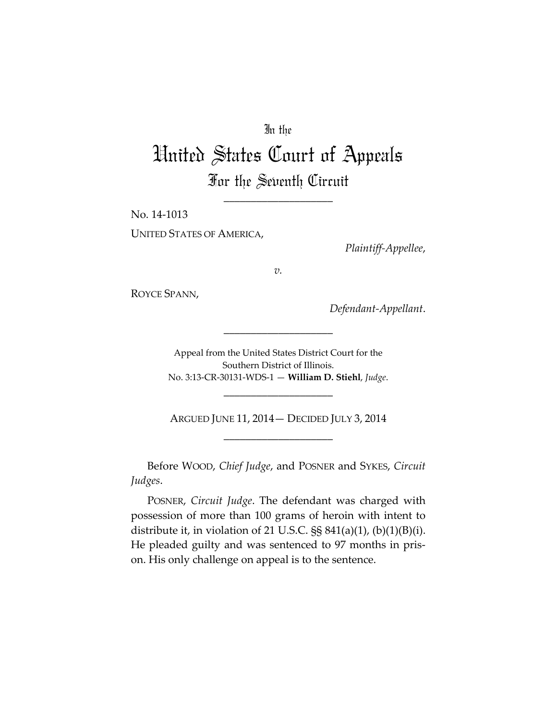## In the

## United States Court of Appeals For the Seventh Circuit

\_\_\_\_\_\_\_\_\_\_\_\_\_\_\_\_\_\_\_\_

No. 14‐1013 UNITED STATES OF AMERICA,

*Plaintiff‐Appellee*,

*v.*

ROYCE SPANN,

*Defendant‐Appellant*.

Appeal from the United States District Court for the Southern District of Illinois. No. 3:13‐CR‐30131‐WDS‐1 — **William D. Stiehl**, *Judge*.

\_\_\_\_\_\_\_\_\_\_\_\_\_\_\_\_\_\_\_\_

ARGUED JUNE 11, 2014— DECIDED JULY 3, 2014 \_\_\_\_\_\_\_\_\_\_\_\_\_\_\_\_\_\_\_\_

\_\_\_\_\_\_\_\_\_\_\_\_\_\_\_\_\_\_\_\_

Before WOOD, *Chief Judge*, and POSNER and SYKES, *Circuit Judges*.

POSNER, *Circuit Judge*. The defendant was charged with possession of more than 100 grams of heroin with intent to distribute it, in violation of 21 U.S.C.  $\S$ § 841(a)(1), (b)(1)(B)(i). He pleaded guilty and was sentenced to 97 months in pris‐ on. His only challenge on appeal is to the sentence.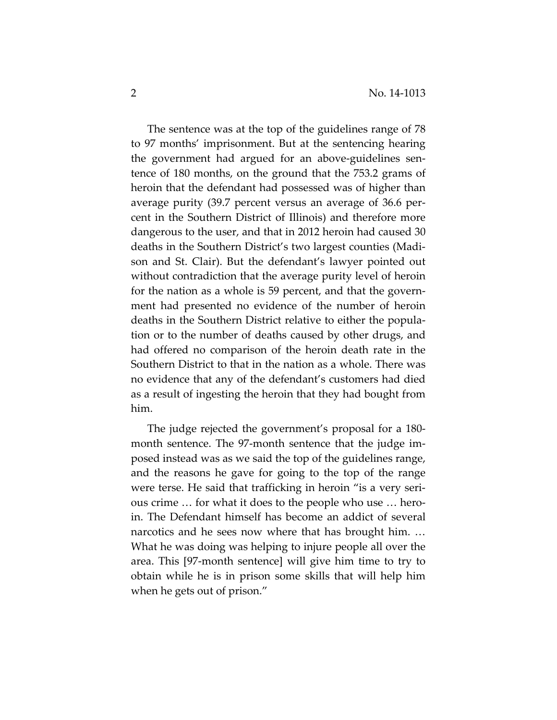The sentence was at the top of the guidelines range of 78 to 97 months' imprisonment. But at the sentencing hearing the government had argued for an above‐guidelines sen‐ tence of 180 months, on the ground that the 753.2 grams of heroin that the defendant had possessed was of higher than average purity (39.7 percent versus an average of 36.6 per‐ cent in the Southern District of Illinois) and therefore more dangerous to the user, and that in 2012 heroin had caused 30 deaths in the Southern District's two largest counties (Madi‐ son and St. Clair). But the defendant's lawyer pointed out without contradiction that the average purity level of heroin for the nation as a whole is 59 percent, and that the government had presented no evidence of the number of heroin deaths in the Southern District relative to either the popula‐ tion or to the number of deaths caused by other drugs, and had offered no comparison of the heroin death rate in the Southern District to that in the nation as a whole. There was no evidence that any of the defendant's customers had died as a result of ingesting the heroin that they had bought from him.

The judge rejected the government's proposal for a 180‐ month sentence. The 97‐month sentence that the judge im‐ posed instead was as we said the top of the guidelines range, and the reasons he gave for going to the top of the range were terse. He said that trafficking in heroin "is a very serious crime … for what it does to the people who use … hero‐ in. The Defendant himself has become an addict of several narcotics and he sees now where that has brought him. … What he was doing was helping to injure people all over the area. This [97‐month sentence] will give him time to try to obtain while he is in prison some skills that will help him when he gets out of prison."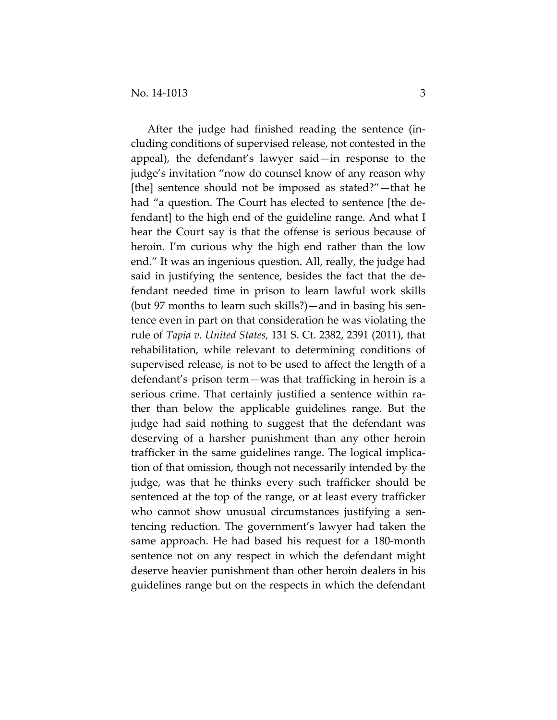After the judge had finished reading the sentence (in‐ cluding conditions of supervised release, not contested in the appeal), the defendant's lawyer said—in response to the judge's invitation "now do counsel know of any reason why [the] sentence should not be imposed as stated?"—that he had "a question. The Court has elected to sentence [the defendant] to the high end of the guideline range. And what I hear the Court say is that the offense is serious because of heroin. I'm curious why the high end rather than the low end." It was an ingenious question. All, really, the judge had said in justifying the sentence, besides the fact that the de‐ fendant needed time in prison to learn lawful work skills (but 97 months to learn such skills?)—and in basing his sen‐ tence even in part on that consideration he was violating the rule of *Tapia v. United States,* 131 S. Ct. 2382, 2391 (2011), that rehabilitation, while relevant to determining conditions of supervised release, is not to be used to affect the length of a defendant's prison term—was that trafficking in heroin is a serious crime. That certainly justified a sentence within rather than below the applicable guidelines range. But the judge had said nothing to suggest that the defendant was deserving of a harsher punishment than any other heroin trafficker in the same guidelines range. The logical implica‐ tion of that omission, though not necessarily intended by the judge, was that he thinks every such trafficker should be sentenced at the top of the range, or at least every trafficker who cannot show unusual circumstances justifying a sentencing reduction. The government's lawyer had taken the same approach. He had based his request for a 180‐month sentence not on any respect in which the defendant might deserve heavier punishment than other heroin dealers in his guidelines range but on the respects in which the defendant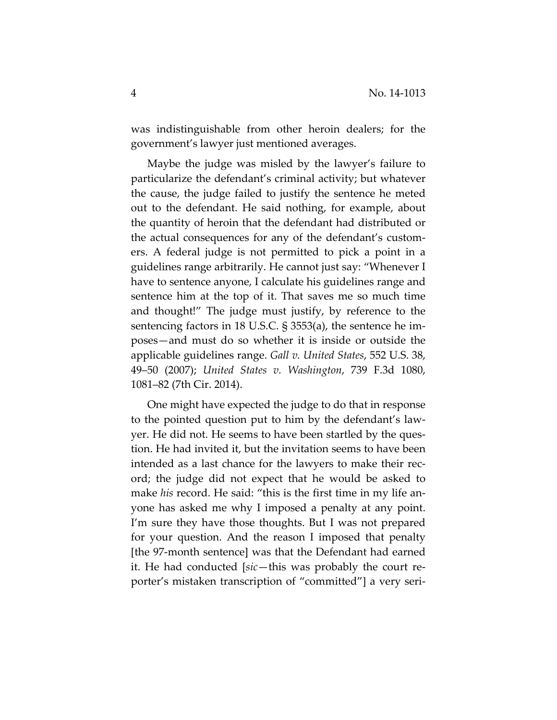was indistinguishable from other heroin dealers; for the government's lawyer just mentioned averages.

Maybe the judge was misled by the lawyer's failure to particularize the defendant's criminal activity; but whatever the cause, the judge failed to justify the sentence he meted out to the defendant. He said nothing, for example, about the quantity of heroin that the defendant had distributed or the actual consequences for any of the defendant's custom‐ ers. A federal judge is not permitted to pick a point in a guidelines range arbitrarily. He cannot just say: "Whenever I have to sentence anyone, I calculate his guidelines range and sentence him at the top of it. That saves me so much time and thought!" The judge must justify, by reference to the sentencing factors in 18 U.S.C. § 3553(a), the sentence he im‐ poses—and must do so whether it is inside or outside the applicable guidelines range. *Gall v. United States*, 552 U.S. 38, 49–50 (2007); *United States v. Washington*, 739 F.3d 1080, 1081–82 (7th Cir. 2014).

One might have expected the judge to do that in response to the pointed question put to him by the defendant's law‐ yer. He did not. He seems to have been startled by the ques‐ tion. He had invited it, but the invitation seems to have been intended as a last chance for the lawyers to make their record; the judge did not expect that he would be asked to make *his* record. He said: "this is the first time in my life an‐ yone has asked me why I imposed a penalty at any point. I'm sure they have those thoughts. But I was not prepared for your question. And the reason I imposed that penalty [the 97‐month sentence] was that the Defendant had earned it. He had conducted [*sic*—this was probably the court re‐ porter's mistaken transcription of "committed"] a very seri‐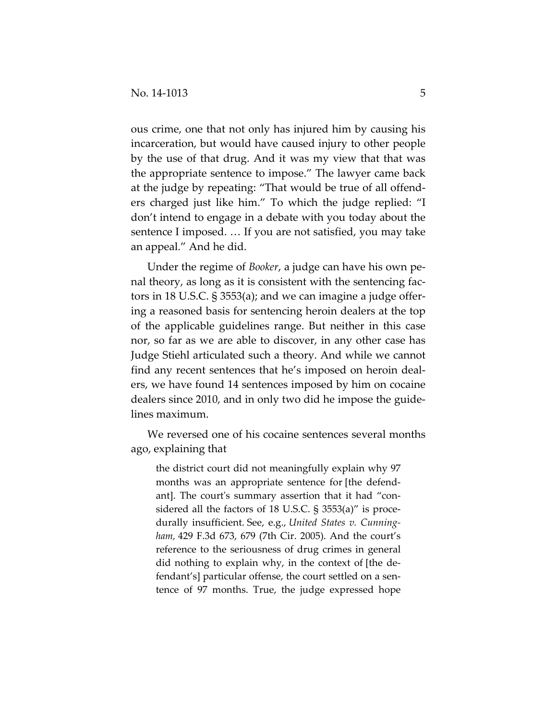ous crime, one that not only has injured him by causing his incarceration, but would have caused injury to other people by the use of that drug. And it was my view that that was the appropriate sentence to impose." The lawyer came back at the judge by repeating: "That would be true of all offend‐ ers charged just like him." To which the judge replied: "I don't intend to engage in a debate with you today about the sentence I imposed. … If you are not satisfied, you may take an appeal." And he did.

Under the regime of *Booker*, a judge can have his own pe‐ nal theory, as long as it is consistent with the sentencing factors in 18 U.S.C. § 3553(a); and we can imagine a judge offer‐ ing a reasoned basis for sentencing heroin dealers at the top of the applicable guidelines range. But neither in this case nor, so far as we are able to discover, in any other case has Judge Stiehl articulated such a theory. And while we cannot find any recent sentences that he's imposed on heroin deal‐ ers, we have found 14 sentences imposed by him on cocaine dealers since 2010, and in only two did he impose the guidelines maximum.

We reversed one of his cocaine sentences several months ago, explaining that

the district court did not meaningfully explain why 97 months was an appropriate sentence for [the defend‐ ant]. The court's summary assertion that it had "considered all the factors of 18 U.S.C. § 3553(a)" is procedurally insufficient. See, e.g., *United States v. Cunning‐ ham,* 429 F.3d 673, 679 (7th Cir. 2005). And the court's reference to the seriousness of drug crimes in general did nothing to explain why, in the context of [the de‐ fendant's] particular offense, the court settled on a sentence of 97 months. True, the judge expressed hope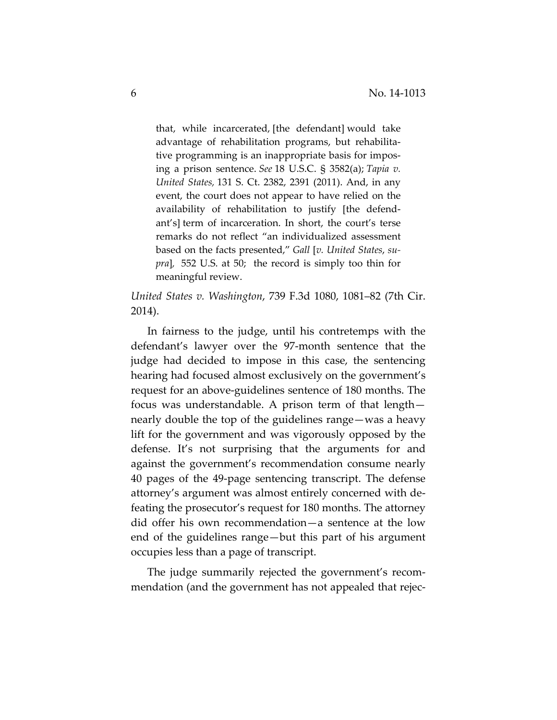that, while incarcerated, [the defendant] would take advantage of rehabilitation programs, but rehabilita‐ tive programming is an inappropriate basis for impos‐ ing a prison sentence. *See* 18 U.S.C. § 3582(a); *Tapia v. United States,* 131 S. Ct. 2382, 2391 (2011). And, in any event, the court does not appear to have relied on the availability of rehabilitation to justify [the defend‐ ant's] term of incarceration. In short, the court's terse remarks do not reflect "an individualized assessment based on the facts presented," *Gall* [*v. United States*, *su‐ pra*]*,* 552 U.S. at 50; the record is simply too thin for meaningful review.

*United States v. Washington*, 739 F.3d 1080, 1081–82 (7th Cir. 2014).

In fairness to the judge, until his contretemps with the defendant's lawyer over the 97‐month sentence that the judge had decided to impose in this case, the sentencing hearing had focused almost exclusively on the government's request for an above‐guidelines sentence of 180 months. The focus was understandable. A prison term of that length nearly double the top of the guidelines range—was a heavy lift for the government and was vigorously opposed by the defense. It's not surprising that the arguments for and against the government's recommendation consume nearly 40 pages of the 49‐page sentencing transcript. The defense attorney's argument was almost entirely concerned with de‐ feating the prosecutor's request for 180 months. The attorney did offer his own recommendation—a sentence at the low end of the guidelines range—but this part of his argument occupies less than a page of transcript.

The judge summarily rejected the government's recom‐ mendation (and the government has not appealed that rejec